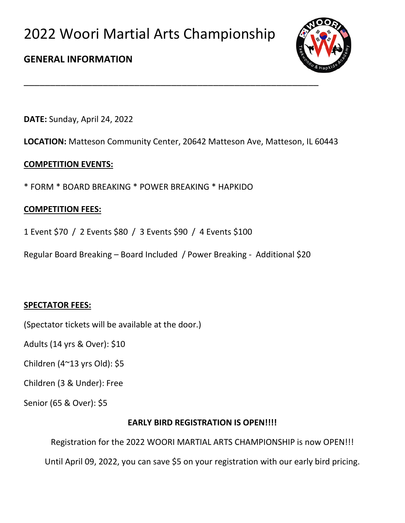

### **GENERAL INFORMATION**

**DATE:** Sunday, April 24, 2022

**LOCATION:** Matteson Community Center, 20642 Matteson Ave, Matteson, IL 60443

\_\_\_\_\_\_\_\_\_\_\_\_\_\_\_\_\_\_\_\_\_\_\_\_\_\_\_\_\_\_\_\_\_\_\_\_\_\_\_\_\_\_\_\_\_\_\_\_\_\_\_\_\_\_\_\_

### **COMPETITION EVENTS:**

\* FORM \* BOARD BREAKING \* POWER BREAKING \* HAPKIDO

### **COMPETITION FEES:**

- 1 Event \$70 / 2 Events \$80 / 3 Events \$90 / 4 Events \$100
- Regular Board Breaking Board Included / Power Breaking Additional \$20

### **SPECTATOR FEES:**

(Spectator tickets will be available at the door.)

Adults (14 yrs & Over): \$10

Children (4~13 yrs Old): \$5

Children (3 & Under): Free

Senior (65 & Over): \$5

#### **EARLY BIRD REGISTRATION IS OPEN!!!!**

Registration for the 2022 WOORI MARTIAL ARTS CHAMPIONSHIP is now OPEN!!!

Until April 09, 2022, you can save \$5 on your registration with our early bird pricing.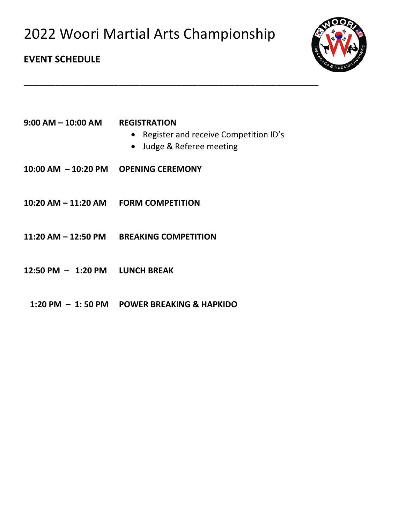

### **EVENT SCHEDULE**

- Register and receive Competition ID's
- Judge & Referee meeting

\_\_\_\_\_\_\_\_\_\_\_\_\_\_\_\_\_\_\_\_\_\_\_\_\_\_\_\_\_\_\_\_\_\_\_\_\_\_\_\_\_\_\_\_\_\_\_\_\_\_\_\_\_\_\_\_

- **10:00 AM – 10:20 PM OPENING CEREMONY**
- **10:20 AM – 11:20 AM FORM COMPETITION**
- **11:20 AM – 12:50 PM BREAKING COMPETITION**
- **12:50 PM – 1:20 PM LUNCH BREAK**
	- **1:20 PM – 1: 50 PM POWER BREAKING & HAPKIDO**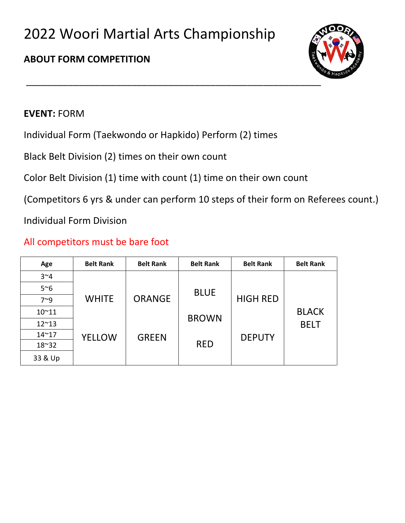# **ABOUT FORM COMPETITION**



### **EVENT:** FORM

Individual Form (Taekwondo or Hapkido) Perform (2) times

Black Belt Division (2) times on their own count

Color Belt Division (1) time with count (1) time on their own count

(Competitors 6 yrs & under can perform 10 steps of their form on Referees count.)

Individual Form Division

## All competitors must be bare foot

| Age           | <b>Belt Rank</b> | <b>Belt Rank</b> | <b>Belt Rank</b> | <b>Belt Rank</b> | <b>Belt Rank</b> |
|---------------|------------------|------------------|------------------|------------------|------------------|
| $3^{\sim}4$   |                  |                  |                  |                  |                  |
| $5^{\sim}6$   |                  |                  | <b>BLUE</b>      |                  |                  |
| $7^{\sim}9$   | <b>WHITE</b>     | <b>ORANGE</b>    |                  | <b>HIGH RED</b>  |                  |
| $10^{\sim}11$ |                  |                  | <b>BROWN</b>     |                  | <b>BLACK</b>     |
| $12^{\sim}13$ |                  |                  |                  |                  | <b>BELT</b>      |
| $14^{\sim}17$ | <b>YELLOW</b>    | <b>GREEN</b>     |                  | <b>DEPUTY</b>    |                  |
| $18^{\sim}32$ |                  |                  | <b>RED</b>       |                  |                  |
| 33 & Up       |                  |                  |                  |                  |                  |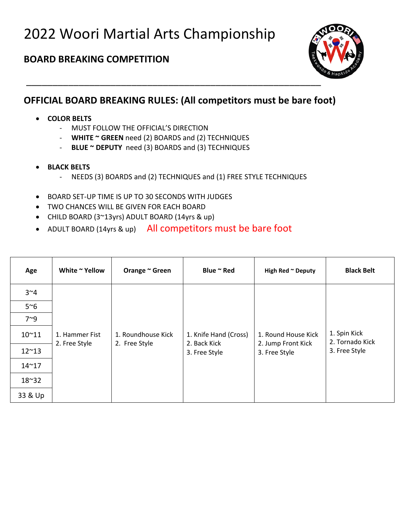### **BOARD BREAKING COMPETITION**



## **OFFICIAL BOARD BREAKING RULES: (All competitors must be bare foot)**

- **COLOR BELTS**
	- MUST FOLLOW THE OFFICIAL'S DIRECTION
	- **WHITE ~ GREEN** need (2) BOARDS and (2) TECHNIQUES
	- **BLUE ~ DEPUTY** need (3) BOARDS and (3) TECHNIQUES
- **BLACK BELTS**
	- NEEDS (3) BOARDS and (2) TECHNIQUES and (1) FREE STYLE TECHNIQUES
- BOARD SET-UP TIME IS UP TO 30 SECONDS WITH JUDGES
- TWO CHANCES WILL BE GIVEN FOR EACH BOARD
- CHILD BOARD (3~13yrs) ADULT BOARD (14yrs & up)
- ADULT BOARD (14yrs & up) All competitors must be bare foot

| Age           | White ~ Yellow                  | Orange ~ Green                      | Blue ~ Red                            | High Red ~ Deputy                         | <b>Black Belt</b>               |
|---------------|---------------------------------|-------------------------------------|---------------------------------------|-------------------------------------------|---------------------------------|
| $3^{\sim}4$   |                                 |                                     |                                       |                                           |                                 |
| $5^{\sim}6$   |                                 |                                     |                                       |                                           |                                 |
| $7^{\sim}9$   |                                 |                                     |                                       |                                           |                                 |
| $10^{\sim}11$ | 1. Hammer Fist<br>2. Free Style | 1. Roundhouse Kick<br>2. Free Style | 1. Knife Hand (Cross)<br>2. Back Kick | 1. Round House Kick<br>2. Jump Front Kick | 1. Spin Kick<br>2. Tornado Kick |
| $12^{\sim}13$ |                                 |                                     | 3. Free Style                         | 3. Free Style                             | 3. Free Style                   |
| $14^{\sim}17$ |                                 |                                     |                                       |                                           |                                 |
| $18^{\sim}32$ |                                 |                                     |                                       |                                           |                                 |
| 33 & Up       |                                 |                                     |                                       |                                           |                                 |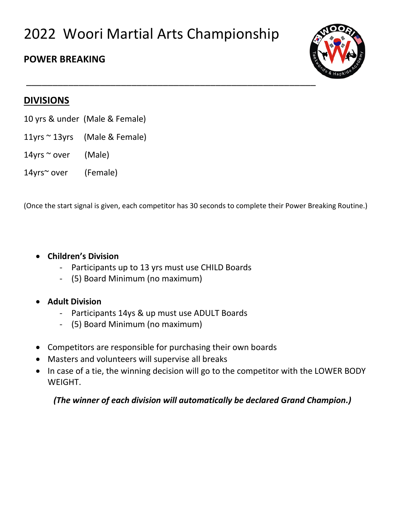### **POWER BREAKING**



### **DIVISIONS**

- 10 yrs & under (Male & Female)
- 11yrs ~ 13yrs (Male & Female)
- 14yrs  $\sim$  over (Male)
- 14yrs~ over (Female)

(Once the start signal is given, each competitor has 30 seconds to complete their Power Breaking Routine.)

#### • **Children's Division**

- Participants up to 13 yrs must use CHILD Boards
- (5) Board Minimum (no maximum)

#### • **Adult Division**

- Participants 14ys & up must use ADULT Boards
- (5) Board Minimum (no maximum)
- Competitors are responsible for purchasing their own boards
- Masters and volunteers will supervise all breaks
- In case of a tie, the winning decision will go to the competitor with the LOWER BODY WEIGHT.

*(The winner of each division will automatically be declared Grand Champion.)*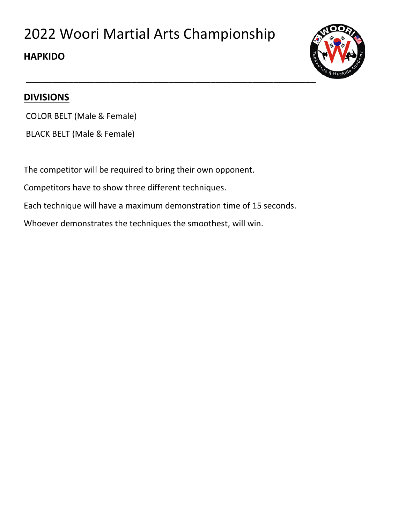## **HAPKIDO**



### **DIVISIONS**

COLOR BELT (Male & Female)

BLACK BELT (Male & Female)

The competitor will be required to bring their own opponent.

Competitors have to show three different techniques.

Each technique will have a maximum demonstration time of 15 seconds.

Whoever demonstrates the techniques the smoothest, will win.